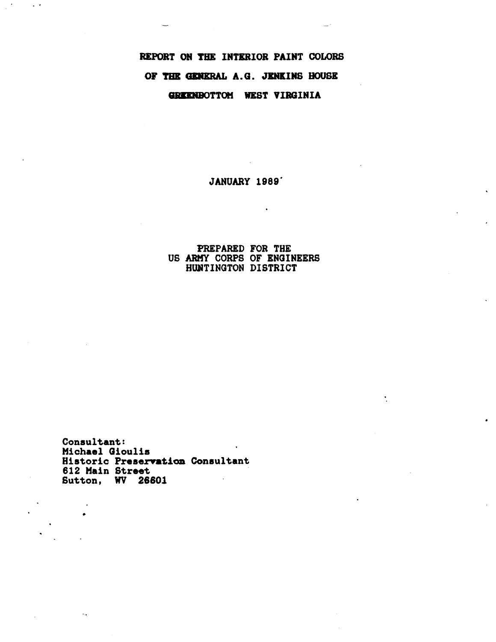## REPORT ON THE INTERIOR PAINT COLORS OF THE GENERAL A.G. JENKINS HOUSE GREENBOTTOM WEST VIRGINIA

## JANUARY 1989<sup>'</sup>

## PREPARED FOR THE US ARMY CORPS OF ENGINEERS HUNTINGTON DISTRICT

Consultant: Michael Gioulis Historic Preservation Consultant 612 Main Street Sutton, WV 26601

•

 $\sim$   $\sim$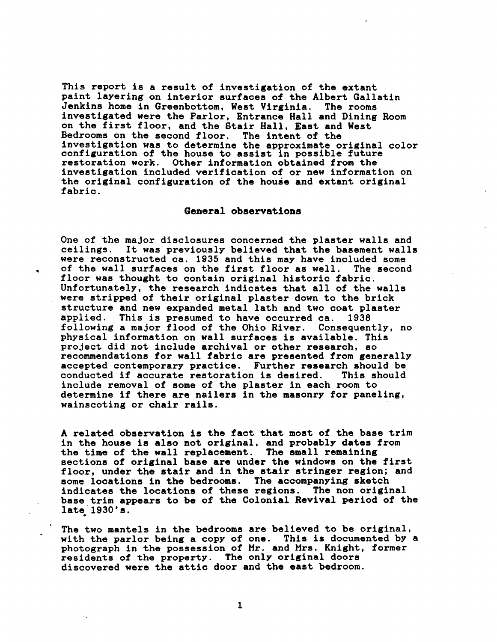This report is a result of investigation of the extant paint layering on interior surfaces of the Albert Gallatin<br>Jenkins home in Greenbottom, West Virginia. The rooms Jenkins home in Greenbottom, West Virginia. investigated were the Parlor, Entrance Hall and Dining Room on the first floor, and the Stair Hall, East and West Bedrooms on the second floor. The intent of the investigation was to determine the approximate original color configuration of the house to assist in possible future restoration work. Other information obtained from the investigation included verification of or new information on the original configuration of the house and extant original fabric.

### General observations

One of the major disclosures concerned the plaster walls and ceilings. It was previously believed that the basement wall It was previously believed that the basement walls were reconstructed ca. 1935 and this may have included some<br>of the wall surfaces on the first floor as well. The second of the wall surfaces on the first floor as well. floor was thought to contain original historic fabric. Unfortunately, the research indicates that all of the walls were stripped of their original plaster down to the brick structure and new expanded metal lath and two coat plaster<br>applied. This is presumed to have occurred ca. 1938 This is presumed to have occurred ca. following a major flood of the Ohio River. Consequently, no physical information on wall surfaces is available. This project did not include archival or other research, so recommendations for wall fabric are presented from generally accepted contemporary practice. Further research should be conducted if accurate restoration is desired. include removal of some of the plaster in each room to determine if there are nailers in the masonry for paneling, wainscoting or chair rails.

 $\bullet$ 

A related observation is the fact that most of the base trim in the house is also not original, and probably dates from the time of the wall replacement. The small remaining sections of original base are under the windows on the first floor, under the stair and in the stair stringer region; and some locations in the bedrooms. The accompanying sketch indicates the locations of these regions. The non original base trim appears to be of the Colonial Revival period of the late  $1930's.$ 

The two mantels in the bedrooms are believed to be original, with the parlor being a copy of one. This is documented by a photograph in the possession of Mr. and Mrs. Knight, former residents of the property. The only original doors discovered were the attic door and the east bedroom.

1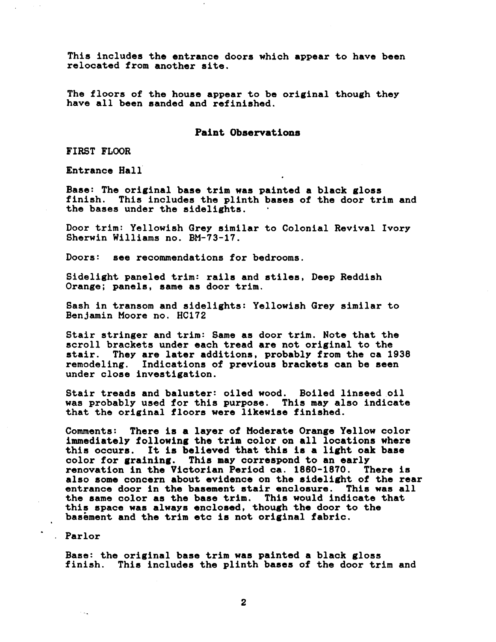This includes the entrance doors which appear to have been relocated from another site.

The floors of the house appear to be original though they have all been sanded and refinished.

#### Paint Observations

#### FIRST FLOOR

Entrance Hall

Base: The original base trim was painted a black gloss finish. This includes the plinth bases of the door trim and the bases under the sidelights.

Door trim: Yellowish Grey similar to Colonial Revival Ivory Sherwin Williams no. BM-73-17.

Doors: see recommendations for bedrooms.

Sidelight paneled trim: rails and stiles, Deep Reddish Orange; panels, same as door trim.

Sash in transom and sidelights: Yellowish Grey similar to Benjamin Moore no. HC172

Stair stringer and trim: Same as door trim. Note that the scroll brackets under each tread are not original to the stair. They are later additions, probably from the ca 1938 remodeling. Indications of previous brackets can be seen under close investigation.

Stair treads and baluster: oiled wood. Boiled linseed oil was probably used for this purpose. This may also indicate that the original floors were likewise finished.

Comments: There is a layer of Moderate Orange Yellow color immediately following the trim color on all locations where this occurs. It is believed that this is a light oak base color for graining. This may correspond to an early renovation in the Victorian Period ca. 1860-1870. There is also some concern about evidence on the sidelight of the rear entrance door in the basement stair enclosure. This was all the same color as the base trim. This would indicate that this space was always enclosed, though the door to the basement and the trim etc is not original fabric.

## Parlor

 $\sim 100$ 

Base: the original base trim was painted a black gloss finish. This includes the plinth bases of the door trim and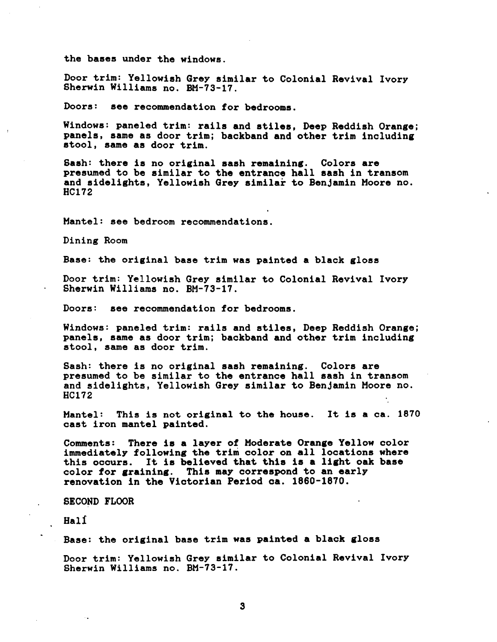the bases under the windows.

Door trim: Yellowish Grey similar to Colonial Revival Ivory Sherwin Williams no. BM-73-17.

Doors: see recommendation for bedrooms.

Windows: paneled trim: rails and stiles, Deep Reddish Orange; panels, same as door trim; backband and other trim includina stool, same as door trim.

Sash: there is no original sash remaining. Colors are presumed to be similar to the entrance hall sash in transom and sidelights, Yellowish Grey similar to Benjamin Moore no. HC172

Mantel: see bedroom recommendations.

Dining Room

Base: the original base trim was painted a black gloss

Door trim: Yellowish Grey similar to Colonial Revival Ivory Sherwin Williams no. BM-73-17.

Doors: see recommendation for bedrooms.

Windows: paneled trim: rails and stiles, Deep Reddish Orange; panels, same as door trim; backband and other trim including stool, same as door trim.

Sash: there is no original sash remaining. Colors are presumed to be similar to the entrance hall sash in transom and sidelights, Yellowish Grey similar to Benjamin Moore no. HC172

Mantel: This is not original to the house. It is a ca. 1870 cast iron mantel painted.

Comments: There is a layer of Moderate Orange Yellow color immediately following the trim color on all locations where this occurs. It is believed that this is a light oak base color for graining. This may correspond to an early renovation in the Victorian Period ca. 1860-1870.

## SECOND FLOOR

Bali

Base: the original base trim was painted a black gloss

Door trim: Yellowish Grey similar to Colonial Revival Ivory Sherwin Williams no. BM-73-17.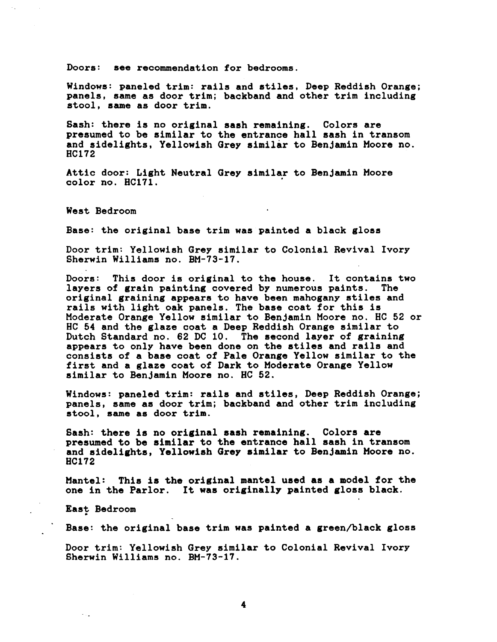Doors: see recommendation for bedrooms.

Windows: paneled trim: rails and stiles, Deep Reddish Orange; panels, same as door trim; backhand and other trim including stool, same as door trim.

Sash: there is no original sash remaining. Colors are presumed to be similar to the entrance hall sash in transom and sidelights, Yellowish Grey similar to Benjamin Moore no. HC172

Attic door: Light Neutral Grey similar to Benjamin Moore color no. HC171.

West Bedroom

Base: the original base trim was painted a black gloss

Door trim: Yellowish Grey similar to Colonial Revival Ivory Sherwin Williams no. BM-73-17.

Doors: This door is original to the house. It contains two layers of grain painting covered by numerous paints. The original graining appears to have been mahogany stiles and rails with light oak panels. The base coat for this is Moderate Orange Yellow similar to Benjamin Moore no. HC 52 or HC 54 and the glaze coat a Deep Reddish Orange similar to Dutch Standard no. 62 DC 10. The second layer of graining appears to only have been done on the stiles and rails and consists of a base coat of Pale Orange Yellow similar to the first and a glaze coat of Dark to Moderate Orange Yellow similar to Benjamin Moore no. HC 52.

Windows: paneled trim: rails and stiles, Deep Reddish Orange; panels, same as door trim; backhand and other trim including stool, same as door trim.

Sash: there is no original sash remaining. Colors are presumed to be similar to the entrance hall sash in transom and sidelights, Yellowish Grey similar to Benjamin Moore no. HC172

Mantel: This is the original mantel used as a model for the one in the Parlor. It was originally painted gloss black.

East. Bedroom

Base: the original base trim was painted a green/black gloss

Door trim: Yellowish Grey similar to Colonial Revival Ivory Sherwin Williams no. BM-73-17.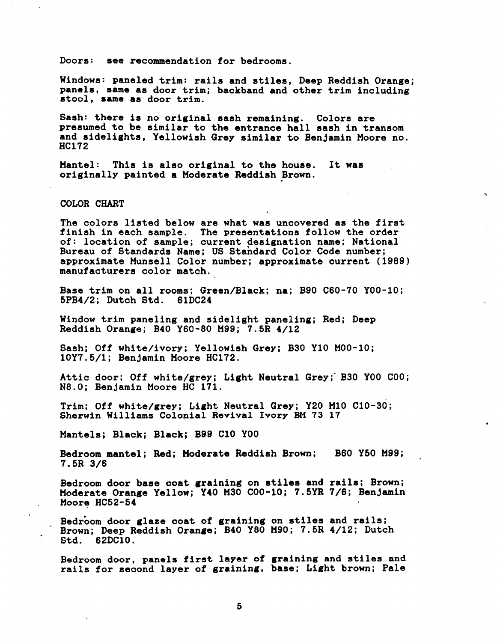Doors: see recommendation for bedrooms.

Windows: paneled trim: rails and stiles, Deep Reddish Orange; panels, same as door trim; backband and other trim including stool, same as door trim.

Sash: there is no original sash remaining. Colors are presumed to be similar to the entrance hall sash in transom and sidelights, Yellowish Grey similar to Benjamin Moore no. HC172

Mantel: This is also original to the house. It was originally painted a Moderate Reddish Brown.

# COLOR CHART

The colors listed below are what was uncovered as the first finish in each sample. The presentations follow the order of: location of sample; current designation name; National Bureau of Standards Name; US Standard Color Code number; approximate Munsell Color number; approximate current (1989) manufacturers color match.

Base trim on all rooms; Green/Black; na; B90 CS0-70 Y00-10; 5PB4/2; Dutch Std. 61DC24

Window trim paneling and sidelight paneling; Red; Deep Reddish Orange; B40 YS0-80 H99; 7.5R 4/12

Sash; Off white/ivory; Yellowish Grey; B30 Y10 M00-10; 10Y7.5/1; Benjamin Moore HC172.

Attic door; Off white/grey; Light Neutral Grey; B30 Y00 C00; N8.0; Benjamin Moore HC 171.

Trim; Off white/grey; Light Neutral Grey; Y20 M10 C10-30; Sherwin Williams Colonial Revival Ivory BM 73 17

Mantels; Black; Black; B99 ClO YOO

Bedroom mantel; Red; Moderate Reddish Brown; B60 Y50 M99; 7.5R 3/6

Bedroom door base coat graining on stiles and rails; Brown; Moderate Orange Yellow; Y40 M30 C00-10; 7.5YR 7/6; Benjamin Moore HC52-54

Bedroom door glaze coat of graining on stiles and rails; Brown; Deep Reddish Orange; B40 Y80 M90; 7.5R 4/12; Dutch . Std. 62DC10.

Bedroom door, panels first layer of graining and stiles and rails for second layer of graining, base; Light brown; Pale

5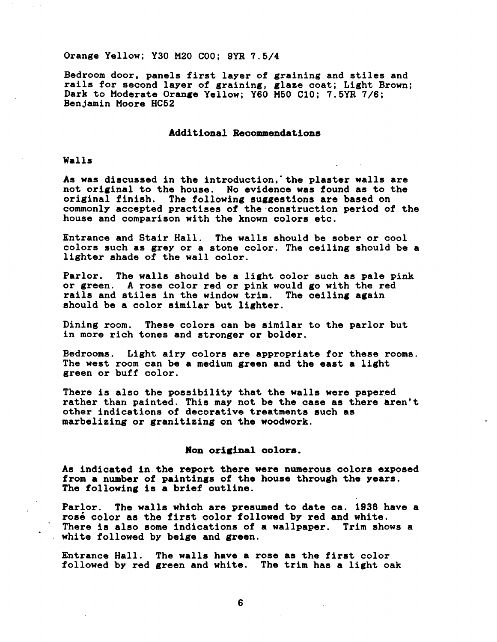## Orange Yellow; Y30 H20 COO; 9YR 7.5/4

Bedroom door, panels first layer of graining and stiles and rails for second layer of graining, glaze coat; Light Brown; Dark to Moderate Orange Yellow; Y60 M50 C10; 7.5YR 7/6; Benjamin Moore HC52

## Additional Recommendations

Walls

As was discussed in the introduction,'the plaster walls are not original to the house. No evidence was found as to the original finish. The following suggestions are based on commonly accepted practises of the·construction period of the house and comparison with the known colors etc.

Entrance and Stair Hall. The walls should be sober or cool colors such as grey or a stone color. The ceiling should be a lighter shade of the wall color.

Parlor. The walls should be a light color such as pale pink or green. A rose color red or pink would go with the red rails and stiles in the window trim. The ceiling again should be a color similar but lighter.

Dining room. These colors can be similar to the parlor but in more rich tones and stronger or bolder.

Bedrooms. Light airy colors are appropriate for these rooms. The west room can be a medium green and the east a light green or buff color.

There is also the possibility that the walls were papered rather than painted. This may not be the case as there aren't other indications of decorative treatments such as marbelizing or granitizing on the woodwork.

### Ron original colora.

As indicated in the report there were numerous colors exposed from a number of paintings of the house through the years. The following is a brief outline.

Parlor. The walls which are presumed to date ca. 1938 have a rose color as the first color followed by red and white. There is also some indications of a wallpaper. Trim shows a white followed by beige and green.

Entrance Hall. The walls have a rose as the first color followed by red green and white. The trim has a light oak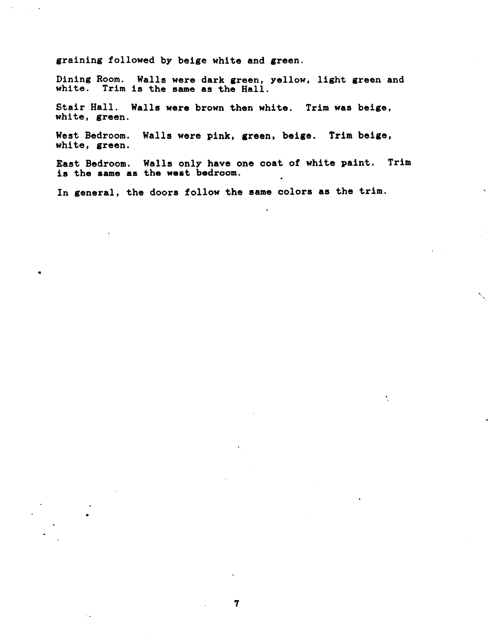graining followed by beige white and green.

Dining Room. Walls were dark green, yellow, light green and white. Trim is the same as the Hall.

Stair Hall. Walls were brown then white. Trim was beige, white, green.

West Bedroom. Walls were pink, green, beige. Trim beige, white, green.

East Bedroom. Walls only have one coat of white paint. Trim is the same as the west bedroom.

'·

In general, the doors follow the same colors as the trim.

•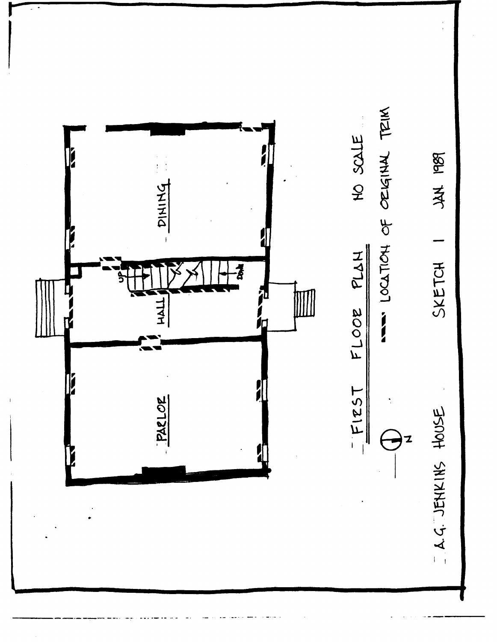